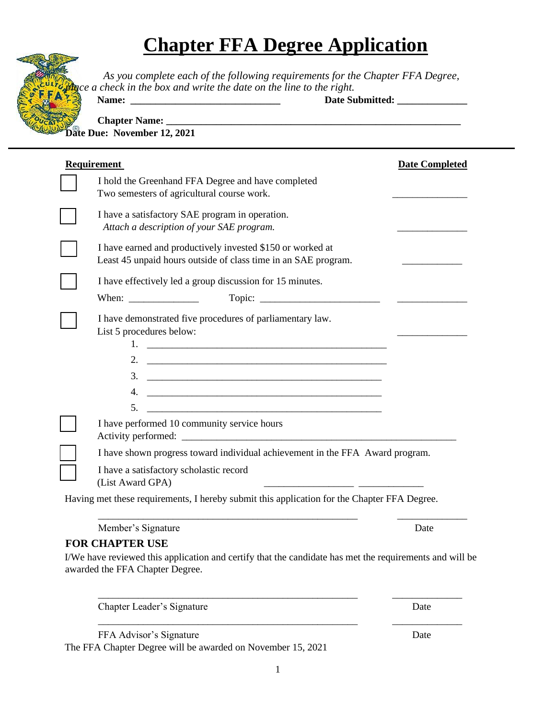## **Chapter FFA Degree Application**



 *As you complete each of the following requirements for the Chapter FFA Degree, place a check in the box and write the date on the line to the right.*

**Name:** Date Submitted:

Chapter Name: **Date Due: November 12, 2021** 

| <b>Requirement</b>                                                                                                                                                                                                                           | <b>Date Completed</b> |
|----------------------------------------------------------------------------------------------------------------------------------------------------------------------------------------------------------------------------------------------|-----------------------|
| I hold the Greenhand FFA Degree and have completed<br>Two semesters of agricultural course work.                                                                                                                                             |                       |
| I have a satisfactory SAE program in operation.<br>Attach a description of your SAE program.                                                                                                                                                 |                       |
| I have earned and productively invested \$150 or worked at<br>Least 45 unpaid hours outside of class time in an SAE program.                                                                                                                 |                       |
| I have effectively led a group discussion for 15 minutes.                                                                                                                                                                                    |                       |
|                                                                                                                                                                                                                                              |                       |
| I have demonstrated five procedures of parliamentary law.<br>List 5 procedures below:<br>$\frac{3}{2}$<br>5.<br><u> 1989 - Johann Barn, mars ar breithinn ar chwaraeth a bhaile ann an t-</u><br>I have performed 10 community service hours |                       |
| I have shown progress toward individual achievement in the FFA Award program.                                                                                                                                                                |                       |
| I have a satisfactory scholastic record<br>(List Award GPA)<br><u> 1989 - Andrea Stadt, amerikansk politiker (d. 1989)</u>                                                                                                                   |                       |
| Having met these requirements, I hereby submit this application for the Chapter FFA Degree.                                                                                                                                                  |                       |
| Member's Signature                                                                                                                                                                                                                           | Date                  |

## **FOR CHAPTER USE**

I/We have reviewed this application and certify that the candidate has met the requirements and will be awarded the FFA Chapter Degree.

\_\_\_\_\_\_\_\_\_\_\_\_\_\_\_\_\_\_\_\_\_\_\_\_\_\_\_\_\_\_\_\_\_\_\_\_\_\_\_\_\_\_\_\_\_\_\_\_\_\_\_\_ \_\_\_\_\_\_\_\_\_\_\_\_\_\_

Chapter Leader's Signature Date

FFA Advisor's Signature Date

The FFA Chapter Degree will be awarded on November 15, 2021

\_\_\_\_\_\_\_\_\_\_\_\_\_\_\_\_\_\_\_\_\_\_\_\_\_\_\_\_\_\_\_\_\_\_\_\_\_\_\_\_\_\_\_\_\_\_\_\_\_\_\_\_ \_\_\_\_\_\_\_\_\_\_\_\_\_\_